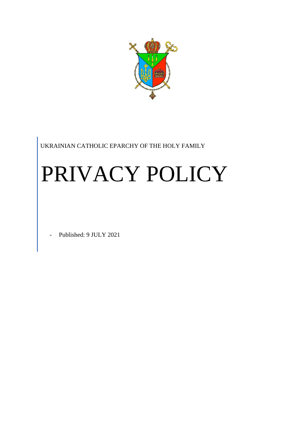

UKRAINIAN CATHOLIC EPARCHY OF THE HOLY FAMILY

# PRIVACY POLICY

Published: 9 JULY 2021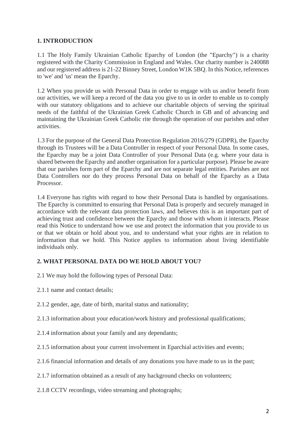# **1. INTRODUCTION**

1.1 The Holy Family Ukrainian Catholic Eparchy of London (the "Eparchy") is a charity registered with the Charity Commission in England and Wales. Our charity number is 240088 and our registered address is 21-22 Binney Street, London W1K 5BQ. In this Notice, references to 'we' and 'us' mean the Eparchy.

1.2 When you provide us with Personal Data in order to engage with us and/or benefit from our activities, we will keep a record of the data you give to us in order to enable us to comply with our statutory obligations and to achieve our charitable objects of serving the spiritual needs of the faithful of the Ukrainian Greek Catholic Church in GB and of advancing and maintaining the Ukrainian Greek Catholic rite through the operation of our parishes and other activities.

1.3 For the purpose of the General Data Protection Regulation 2016/279 (GDPR), the Eparchy through its Trustees will be a Data Controller in respect of your Personal Data. In some cases, the Eparchy may be a joint Data Controller of your Personal Data (e.g. where your data is shared between the Eparchy and another organisation for a particular purpose). Please be aware that our parishes form part of the Eparchy and are not separate legal entities. Parishes are not Data Controllers nor do they process Personal Data on behalf of the Eparchy as a Data Processor.

1.4 Everyone has rights with regard to how their Personal Data is handled by organisations. The Eparchy is committed to ensuring that Personal Data is properly and securely managed in accordance with the relevant data protection laws, and believes this is an important part of achieving trust and confidence between the Eparchy and those with whom it interacts. Please read this Notice to understand how we use and protect the information that you provide to us or that we obtain or hold about you, and to understand what your rights are in relation to information that we hold. This Notice applies to information about living identifiable individuals only.

#### **2. WHAT PERSONAL DATA DO WE HOLD ABOUT YOU?**

- 2.1 We may hold the following types of Personal Data:
- 2.1.1 name and contact details;
- 2.1.2 gender, age, date of birth, marital status and nationality;
- 2.1.3 information about your education/work history and professional qualifications;
- 2.1.4 information about your family and any dependants;
- 2.1.5 information about your current involvement in Eparchial activities and events;
- 2.1.6 financial information and details of any donations you have made to us in the past;
- 2.1.7 information obtained as a result of any background checks on volunteers;
- 2.1.8 CCTV recordings, video streaming and photographs;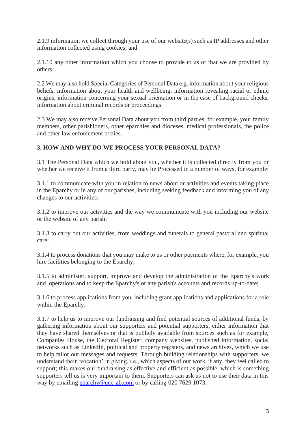2.1.9 information we collect through your use of our website(s) such as IP addresses and other information collected using cookies; and

2.1.10 any other information which you choose to provide to us or that we are provided by others.

2.2 We may also hold Special Categories of Personal Data e.g. information about your religious beliefs, information about your health and wellbeing, information revealing racial or ethnic origins, information concerning your sexual orientation or in the case of background checks, information about criminal records or proceedings.

2.3 We may also receive Personal Data about you from third parties, for example, your family members, other parishioners, other eparchies and dioceses, medical professionals, the police and other law enforcement bodies.

## **3. HOW AND WHY DO WE PROCESS YOUR PERSONAL DATA?**

3.1 The Personal Data which we hold about you, whether it is collected directly from you or whether we receive it from a third party, may be Processed in a number of ways, for example:

3.1.1 to communicate with you in relation to news about or activities and events taking place in the Eparchy or in any of our parishes, including seeking feedback and informing you of any changes to our activities;

3.1.2 to improve our activities and the way we communicate with you including our website or the website of any parish;

3.1.3 to carry out our activities, from weddings and funerals to general pastoral and spiritual care;

3.1.4 to process donations that you may make to us or other payments where, for example, you hire facilities belonging to the Eparchy;

3.1.5 to administer, support, improve and develop the administration of the Eparchy's work and operations and to keep the Eparchy's or any parish's accounts and records up-to-date;

3.1.6 to process applications from you, including grant applications and applications for a role within the Eparchy;

3.1.7 to help us to improve our fundraising and find potential sources of additional funds, by gathering information about our supporters and potential supporters, either information that they have shared themselves or that is publicly available from sources such as for example, Companies House, the Electoral Register, company websites, published information, social networks such as LinkedIn, political and property registers, and news archives, which we use to help tailor our messages and requests. Through building relationships with supporters, we understand their 'vocation' in giving, i.e., which aspects of our work, if any, they feel called to support; this makes our fundraising as effective and efficient as possible, which is something supporters tell us is very important to them. Supporters can ask us not to use their data in this way by emailing [eparchy@ucc-gb.com](mailto:eparchy@ucc-gb.com) or by calling 020 7629 1073;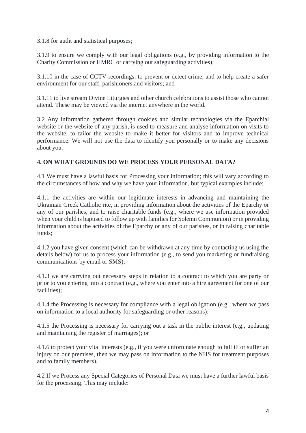3.1.8 for audit and statistical purposes;

3.1.9 to ensure we comply with our legal obligations (e.g., by providing information to the Charity Commission or HMRC or carrying out safeguarding activities);

3.1.10 in the case of CCTV recordings, to prevent or detect crime, and to help create a safer environment for our staff, parishioners and visitors; and

3.1.11 to live stream Divine Liturgies and other church celebrations to assist those who cannot attend. These may be viewed via the internet anywhere in the world.

3.2 Any information gathered through cookies and similar technologies via the Eparchial website or the website of any parish, is used to measure and analyse information on visits to the website, to tailor the website to make it better for visitors and to improve technical performance. We will not use the data to identify you personally or to make any decisions about you.

## **4. ON WHAT GROUNDS DO WE PROCESS YOUR PERSONAL DATA?**

4.1 We must have a lawful basis for Processing your information; this will vary according to the circumstances of how and why we have your information, but typical examples include:

4.1.1 the activities are within our legitimate interests in advancing and maintaining the Ukrainian Greek Catholic rite, in providing information about the activities of the Eparchy or any of our parishes, and to raise charitable funds (e.g., where we use information provided when your child is baptised to follow up with families for Solemn Communion) or in providing information about the activities of the Eparchy or any of our parishes, or in raising charitable funds;

4.1.2 you have given consent (which can be withdrawn at any time by contacting us using the details below) for us to process your information (e.g., to send you marketing or fundraising communications by email or SMS);

4.1.3 we are carrying out necessary steps in relation to a contract to which you are party or prior to you entering into a contract (e.g., where you enter into a hire agreement for one of our facilities):

4.1.4 the Processing is necessary for compliance with a legal obligation (e.g., where we pass on information to a local authority for safeguarding or other reasons);

4.1.5 the Processing is necessary for carrying out a task in the public interest (e.g., updating and maintaining the register of marriages); or

4.1.6 to protect your vital interests (e.g., if you were unfortunate enough to fall ill or suffer an injury on our premises, then we may pass on information to the NHS for treatment purposes and to family members).

4.2 If we Process any Special Categories of Personal Data we must have a further lawful basis for the processing. This may include: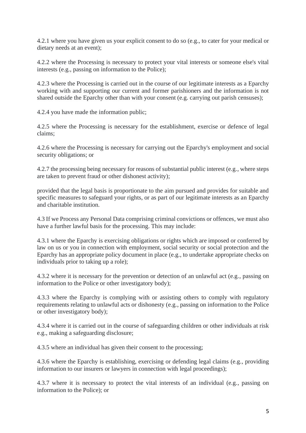4.2.1 where you have given us your explicit consent to do so (e.g., to cater for your medical or dietary needs at an event);

4.2.2 where the Processing is necessary to protect your vital interests or someone else's vital interests (e.g., passing on information to the Police);

4.2.3 where the Processing is carried out in the course of our legitimate interests as a Eparchy working with and supporting our current and former parishioners and the information is not shared outside the Eparchy other than with your consent (e.g. carrying out parish censuses);

4.2.4 you have made the information public;

4.2.5 where the Processing is necessary for the establishment, exercise or defence of legal claims;

4.2.6 where the Processing is necessary for carrying out the Eparchy's employment and social security obligations; or

4.2.7 the processing being necessary for reasons of substantial public interest (e.g., where steps are taken to prevent fraud or other dishonest activity);

provided that the legal basis is proportionate to the aim pursued and provides for suitable and specific measures to safeguard your rights, or as part of our legitimate interests as an Eparchy and charitable institution.

4.3 If we Process any Personal Data comprising criminal convictions or offences, we must also have a further lawful basis for the processing. This may include:

4.3.1 where the Eparchy is exercising obligations or rights which are imposed or conferred by law on us or you in connection with employment, social security or social protection and the Eparchy has an appropriate policy document in place (e.g., to undertake appropriate checks on individuals prior to taking up a role);

4.3.2 where it is necessary for the prevention or detection of an unlawful act (e.g., passing on information to the Police or other investigatory body);

4.3.3 where the Eparchy is complying with or assisting others to comply with regulatory requirements relating to unlawful acts or dishonesty (e.g., passing on information to the Police or other investigatory body);

4.3.4 where it is carried out in the course of safeguarding children or other individuals at risk e.g., making a safeguarding disclosure;

4.3.5 where an individual has given their consent to the processing;

4.3.6 where the Eparchy is establishing, exercising or defending legal claims (e.g., providing information to our insurers or lawyers in connection with legal proceedings);

4.3.7 where it is necessary to protect the vital interests of an individual (e.g., passing on information to the Police); or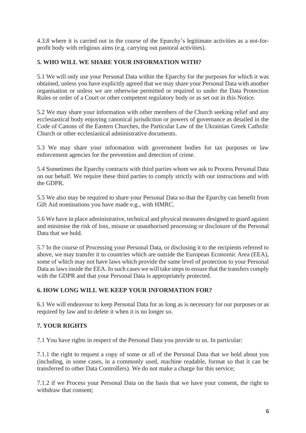4.3.8 where it is carried out in the course of the Eparchy's legitimate activities as a not-forprofit body with religious aims (e.g. carrying out pastoral activities).

## **5. WHO WILL WE SHARE YOUR INFORMATION WITH?**

5.1 We will only use your Personal Data within the Eparchy for the purposes for which it was obtained, unless you have explicitly agreed that we may share your Personal Data with another organisation or unless we are otherwise permitted or required to under the Data Protection Rules or order of a Court or other competent regulatory body or as set out in this Notice.

5.2 We may share your information with other members of the Church seeking relief and any ecclesiastical body enjoying canonical jurisdiction or powers of governance as detailed in the Code of Canons of the Eastern Churches, the Particular Law of the Ukrainian Greek Catholic Church or other ecclesiastical administrative documents.

5.3 We may share your information with government bodies for tax purposes or law enforcement agencies for the prevention and detection of crime.

5.4 Sometimes the Eparchy contracts with third parties whom we ask to Process Personal Data on our behalf. We require these third parties to comply strictly with our instructions and with the GDPR.

5.5 We also may be required to share your Personal Data so that the Eparchy can benefit from Gift Aid nominations you have made e.g., with HMRC.

5.6 We have in place administrative, technical and physical measures designed to guard against and minimise the risk of loss, misuse or unauthorised processing or disclosure of the Personal Data that we hold.

5.7 In the course of Processing your Personal Data, or disclosing it to the recipients referred to above, we may transfer it to countries which are outside the European Economic Area (EEA), some of which may not have laws which provide the same level of protection to your Personal Data as laws inside the EEA. In such cases we will take steps to ensure that the transfers comply with the GDPR and that your Personal Data is appropriately protected.

#### **6. HOW LONG WILL WE KEEP YOUR INFORMATION FOR?**

6.1 We will endeavour to keep Personal Data for as long as is necessary for our purposes or as required by law and to delete it when it is no longer so.

#### **7. YOUR RIGHTS**

7.1 You have rights in respect of the Personal Data you provide to us. In particular:

7.1.1 the right to request a copy of some or all of the Personal Data that we hold about you (including, in some cases, in a commonly used, machine readable, format so that it can be transferred to other Data Controllers). We do not make a charge for this service;

7.1.2 if we Process your Personal Data on the basis that we have your consent, the right to withdraw that consent;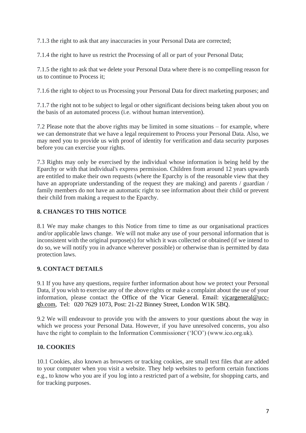7.1.3 the right to ask that any inaccuracies in your Personal Data are corrected;

7.1.4 the right to have us restrict the Processing of all or part of your Personal Data;

7.1.5 the right to ask that we delete your Personal Data where there is no compelling reason for us to continue to Process it;

7.1.6 the right to object to us Processing your Personal Data for direct marketing purposes; and

7.1.7 the right not to be subject to legal or other significant decisions being taken about you on the basis of an automated process (i.e. without human intervention).

7.2 Please note that the above rights may be limited in some situations – for example, where we can demonstrate that we have a legal requirement to Process your Personal Data. Also, we may need you to provide us with proof of identity for verification and data security purposes before you can exercise your rights.

7.3 Rights may only be exercised by the individual whose information is being held by the Eparchy or with that individual's express permission. Children from around 12 years upwards are entitled to make their own requests (where the Eparchy is of the reasonable view that they have an appropriate understanding of the request they are making) and parents / guardian / family members do not have an automatic right to see information about their child or prevent their child from making a request to the Eparchy.

# **8. CHANGES TO THIS NOTICE**

8.1 We may make changes to this Notice from time to time as our organisational practices and/or applicable laws change. We will not make any use of your personal information that is inconsistent with the original purpose(s) for which it was collected or obtained (if we intend to do so, we will notify you in advance wherever possible) or otherwise than is permitted by data protection laws.

# **9. CONTACT DETAILS**

9.1 If you have any questions, require further information about how we protect your Personal Data, if you wish to exercise any of the above rights or make a complaint about the use of your information, please contact the Office of the Vicar General. Email: [vicargeneral@ucc](mailto:vicargeneral@ucc-gb.com)[gb.com,](mailto:vicargeneral@ucc-gb.com) Tel: 020 7629 1073, Post: 21-22 Binney Street, London W1K 5BQ.

9.2 We will endeavour to provide you with the answers to your questions about the way in which we process your Personal Data. However, if you have unresolved concerns, you also have the right to complain to the Information Commissioner ('ICO') (www.ico.org.uk).

# **10. COOKIES**

10.1 Cookies, also known as browsers or tracking cookies, are small text files that are added to your computer when you visit a website. They help websites to perform certain functions e.g., to know who you are if you log into a restricted part of a website, for shopping carts, and for tracking purposes.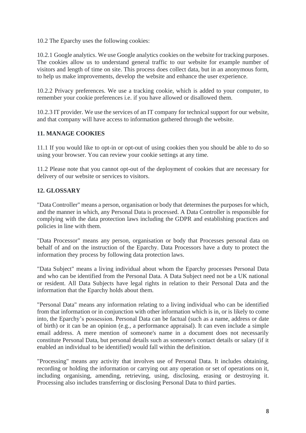10.2 The Eparchy uses the following cookies:

10.2.1 Google analytics. We use Google analytics cookies on the website for tracking purposes. The cookies allow us to understand general traffic to our website for example number of visitors and length of time on site. This process does collect data, but in an anonymous form, to help us make improvements, develop the website and enhance the user experience.

10.2.2 Privacy preferences. We use a tracking cookie, which is added to your computer, to remember your cookie preferences i.e. if you have allowed or disallowed them.

10.2.3 IT provider. We use the services of an IT company for technical support for our website, and that company will have access to information gathered through the website.

# **11. MANAGE COOKIES**

11.1 If you would like to opt-in or opt-out of using cookies then you should be able to do so using your browser. You can review your cookie settings at any time.

11.2 Please note that you cannot opt-out of the deployment of cookies that are necessary for delivery of our website or services to visitors.

# **12. GLOSSARY**

"Data Controller" means a person, organisation or body that determines the purposes for which, and the manner in which, any Personal Data is processed. A Data Controller is responsible for complying with the data protection laws including the GDPR and establishing practices and policies in line with them.

"Data Processor" means any person, organisation or body that Processes personal data on behalf of and on the instruction of the Eparchy. Data Processors have a duty to protect the information they process by following data protection laws.

"Data Subject" means a living individual about whom the Eparchy processes Personal Data and who can be identified from the Personal Data. A Data Subject need not be a UK national or resident. All Data Subjects have legal rights in relation to their Personal Data and the information that the Eparchy holds about them.

"Personal Data" means any information relating to a living individual who can be identified from that information or in conjunction with other information which is in, or is likely to come into, the Eparchy's possession. Personal Data can be factual (such as a name, address or date of birth) or it can be an opinion (e.g., a performance appraisal). It can even include a simple email address. A mere mention of someone's name in a document does not necessarily constitute Personal Data, but personal details such as someone's contact details or salary (if it enabled an individual to be identified) would fall within the definition.

"Processing" means any activity that involves use of Personal Data. It includes obtaining, recording or holding the information or carrying out any operation or set of operations on it, including organising, amending, retrieving, using, disclosing, erasing or destroying it. Processing also includes transferring or disclosing Personal Data to third parties.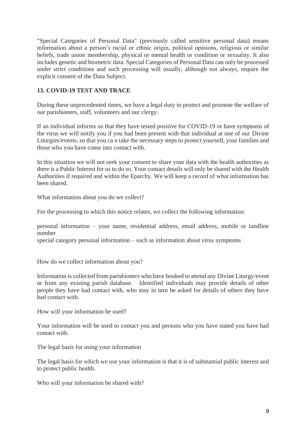"Special Categories of Personal Data" (previously called sensitive personal data) means information about a person's racial or ethnic origin, political opinions, religious or similar beliefs, trade union membership, physical or mental health or condition or sexuality. It also includes genetic and biometric data. Special Categories of Personal Data can only be processed under strict conditions and such processing will usually, although not always, require the explicit consent of the Data Subject.

# **13. COVID-19 TEST AND TRACE**

During these unprecedented times, we have a legal duty to protect and promote the welfare of our parishioners, staff, volunteers and our clergy.

If an individual informs us that they have tested positive for COVID-19 or have symptoms of the virus we will notify you if you had been present with that individual at one of our Divine Liturgies/events, so that you ca n take the necessary steps to protect yourself, your families and those who you have come into contact with.

In this situation we will not seek your consent to share your data with the health authorities as there is a Public Interest for us to do so. Your contact details will only be shared with the Health Authorities if required and within the Eparchy. We will keep a record of what information has been shared.

What information about you do we collect?

For the processing to which this notice relates, we collect the following information:

personal information – your name, residential address, email address, mobile or landline number

special category personal information – such as information about virus symptoms

How do we collect information about you?

Information is collected from parishioners who have booked to attend any Divine Liturgy/event or from any existing parish database. Identified individuals may provide details of other people they have had contact with, who may in turn be asked for details of others they have had contact with.

How will your information be used?

Your information will be used to contact you and persons who you have stated you have had contact with.

The legal basis for using your information

The legal basis for which we use your information is that it is of substantial public interest and to protect public health.

Who will your information be shared with?